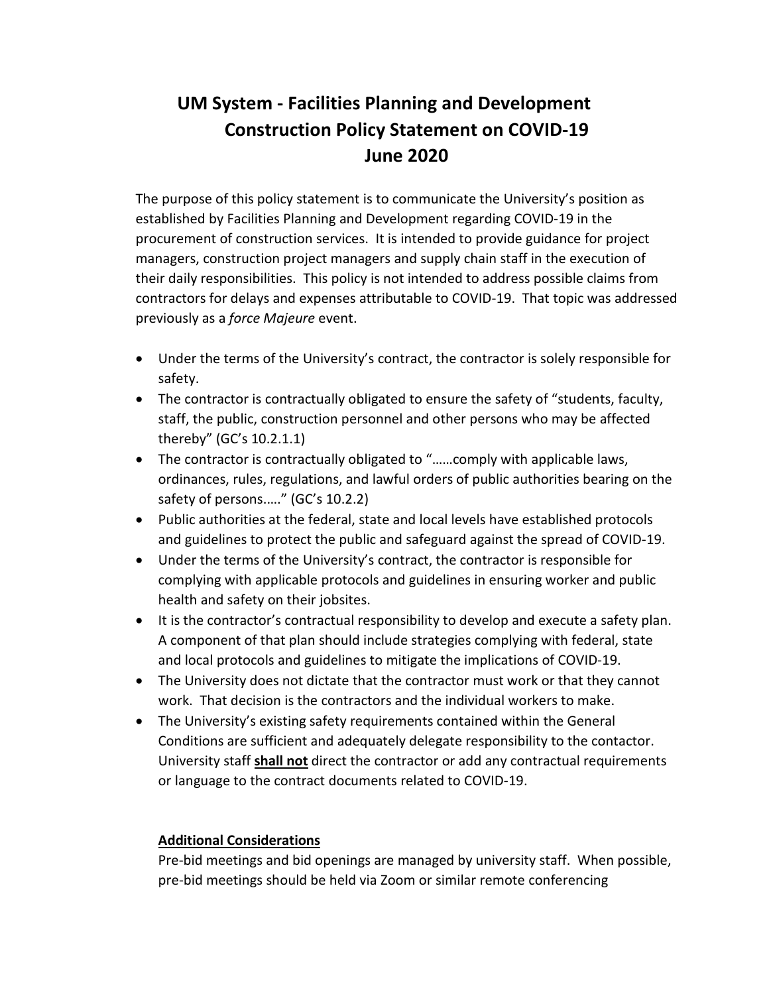## **UM System - Facilities Planning and Development Construction Policy Statement on COVID-19 June 2020**

The purpose of this policy statement is to communicate the University's position as established by Facilities Planning and Development regarding COVID-19 in the procurement of construction services. It is intended to provide guidance for project managers, construction project managers and supply chain staff in the execution of their daily responsibilities. This policy is not intended to address possible claims from contractors for delays and expenses attributable to COVID-19. That topic was addressed previously as a *force Majeure* event.

- Under the terms of the University's contract, the contractor is solely responsible for safety.
- The contractor is contractually obligated to ensure the safety of "students, faculty, staff, the public, construction personnel and other persons who may be affected thereby" (GC's 10.2.1.1)
- The contractor is contractually obligated to "……comply with applicable laws, ordinances, rules, regulations, and lawful orders of public authorities bearing on the safety of persons....." (GC's 10.2.2)
- Public authorities at the federal, state and local levels have established protocols and guidelines to protect the public and safeguard against the spread of COVID-19.
- Under the terms of the University's contract, the contractor is responsible for complying with applicable protocols and guidelines in ensuring worker and public health and safety on their jobsites.
- It is the contractor's contractual responsibility to develop and execute a safety plan. A component of that plan should include strategies complying with federal, state and local protocols and guidelines to mitigate the implications of COVID-19.
- The University does not dictate that the contractor must work or that they cannot work. That decision is the contractors and the individual workers to make.
- The University's existing safety requirements contained within the General Conditions are sufficient and adequately delegate responsibility to the contactor. University staff **shall not** direct the contractor or add any contractual requirements or language to the contract documents related to COVID-19.

## **Additional Considerations**

Pre-bid meetings and bid openings are managed by university staff. When possible, pre-bid meetings should be held via Zoom or similar remote conferencing